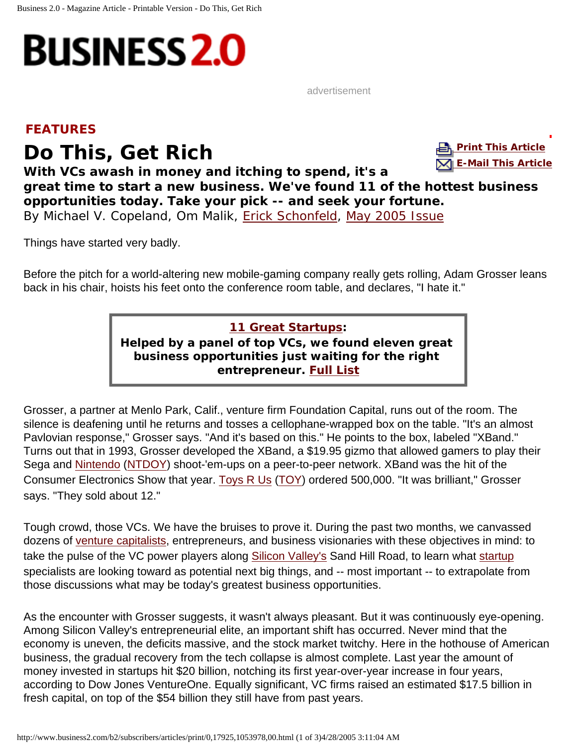<span id="page-0-0"></span>

advertisement

## **FEATURES**

**Print This, Get Rich Earth Communicate Communicate Communicate Communicate Communicate Communicate Communicate Communicate Communicate Communicate Communicate Communicate Communicate Communicate Communicate Communicate** 



**With VCs awash in money and itching to spend, it's a great time to start a new business. We've found 11 of the hottest business opportunities today. Take your pick -- and seek your fortune.** *By Michael V. Copeland, Om Malik, Erick Schonfeld,* May 2005 Issue

Things have started very badly.

Before the pitch for a world-altering new mobile-gaming company really gets rolling, Adam Grosser leans back in his chair, hoists his feet onto the conference room table, and declares, "I hate it."

**11 Great Startups:**

**Helped by a panel of top VCs, we found eleven great business opportunities just waiting for the right entrepreneur. Full List**

Grosser, a partner at Menlo Park, Calif., venture firm Foundation Capital, runs out of the room. The silence is deafening until he returns and tosses a cellophane-wrapped box on the table. "It's an almost Pavlovian response," Grosser says. "And it's based on this." He points to the box, labeled "XBand." Turns out that in 1993, Grosser developed the XBand, a \$19.95 gizmo that allowed gamers to play their Sega and Nintendo (NTDOY) shoot-'em-ups on a peer-to-peer network. XBand was the hit of the Consumer Electronics Show that year. Toys R Us (TOY) ordered 500,000. "It was brilliant," Grosser says. "They sold about 12."

Tough crowd, those VCs. We have the bruises to prove it. During the past two months, we canvassed dozens of venture capitalists, entrepreneurs, and business visionaries with these objectives in mind: to take the pulse of the VC power players along Silicon Valley's Sand Hill Road, to learn what startup specialists are looking toward as potential next big things, and -- most important -- to extrapolate from those discussions what may be today's greatest business opportunities.

As the encounter with Grosser suggests, it wasn't always pleasant. But it was continuously eye-opening. Among Silicon Valley's entrepreneurial elite, an important shift has occurred. Never mind that the economy is uneven, the deficits massive, and the stock market twitchy. Here in the hothouse of American business, the gradual recovery from the tech collapse is almost complete. Last year the amount of money invested in startups hit \$20 billion, notching its first year-over-year increase in four years, according to Dow Jones VentureOne. Equally significant, VC firms raised an estimated \$17.5 billion in fresh capital, on top of the \$54 billion they still have from past years.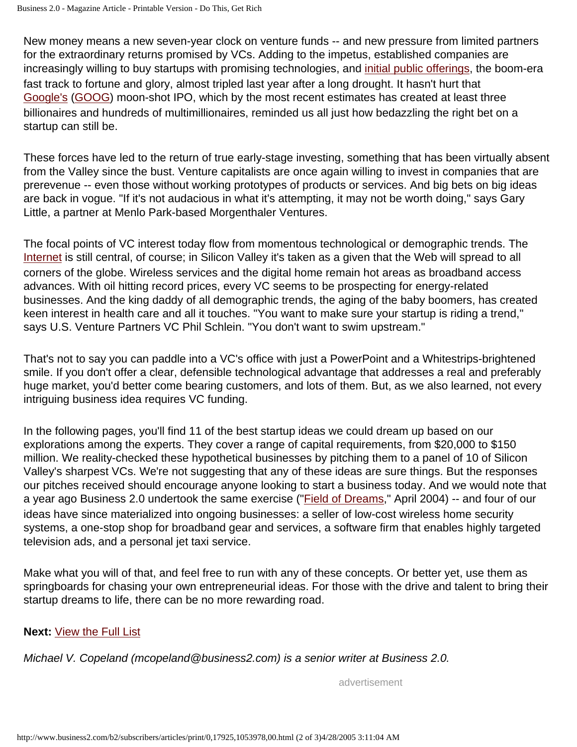New money means a new seven-year clock on venture funds -- and new pressure from limited partners for the extraordinary returns promised by VCs. Adding to the impetus, established companies are increasingly willing to buy startups with promising technologies, and initial public offerings, the boom-era fast track to fortune and glory, almost tripled last year after a long drought. It hasn't hurt that Google's (GOOG) moon-shot IPO, which by the most recent estimates has created at least three billionaires and hundreds of multimillionaires, reminded us all just how bedazzling the right bet on a startup can still be.

These forces have led to the return of true early-stage investing, something that has been virtually absent from the Valley since the bust. Venture capitalists are once again willing to invest in companies that are prerevenue -- even those without working prototypes of products or services. And big bets on big ideas are back in vogue. "If it's not audacious in what it's attempting, it may not be worth doing," says Gary Little, a partner at Menlo Park-based Morgenthaler Ventures.

The focal points of VC interest today flow from momentous technological or demographic trends. The Internet is still central, of course; in Silicon Valley it's taken as a given that the Web will spread to all corners of the globe. Wireless services and the digital home remain hot areas as broadband access advances. With oil hitting record prices, every VC seems to be prospecting for energy-related businesses. And the king daddy of all demographic trends, the aging of the baby boomers, has created keen interest in health care and all it touches. "You want to make sure your startup is riding a trend," says U.S. Venture Partners VC Phil Schlein. "You don't want to swim upstream."

That's not to say you can paddle into a VC's office with just a PowerPoint and a Whitestrips-brightened smile. If you don't offer a clear, defensible technological advantage that addresses a real and preferably huge market, you'd better come bearing customers, and lots of them. But, as we also learned, not every intriguing business idea requires VC funding.

In the following pages, you'll find 11 of the best startup ideas we could dream up based on our explorations among the experts. They cover a range of capital requirements, from \$20,000 to \$150 million. We reality-checked these hypothetical businesses by pitching them to a panel of 10 of Silicon Valley's sharpest VCs. We're not suggesting that any of these ideas are sure things. But the responses our pitches received should encourage anyone looking to start a business today. And we would note that a year ago Business 2.0 undertook the same exercise ("Field of Dreams," April 2004) -- and four of our ideas have since materialized into ongoing businesses: a seller of low-cost wireless home security systems, a one-stop shop for broadband gear and services, a software firm that enables highly targeted television ads, and a personal jet taxi service.

Make what you will of that, and feel free to run with any of these concepts. Or better yet, use them as springboards for chasing your own entrepreneurial ideas. For those with the drive and talent to bring their startup dreams to life, there can be no more rewarding road.

## **Next:** View the Full List

*Michael V. Copeland (mcopeland@business2.com) is a senior writer at Business 2.0.*

advertisement